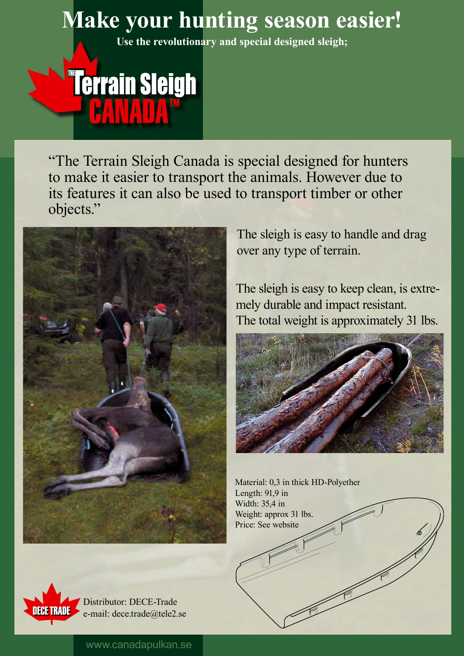## www.canadapulkan.se

"The Terrain Sleigh Canada is special designed for hunters to make it easier to transport the animals. However due to its features it can also be used to transport timber or other objects."



Material: 0,3 in thick HD-Polyether Length: 91,9 in



## **Make your hunting season easier!**

**Use the revolutionary and special designed sleigh;**

## **"Terrain Sleigh**

The sleigh is easy to handle and drag over any type of terrain.

The sleigh is easy to keep clean, is extremely durable and impact resistant. The total weight is approximately 31 lbs.



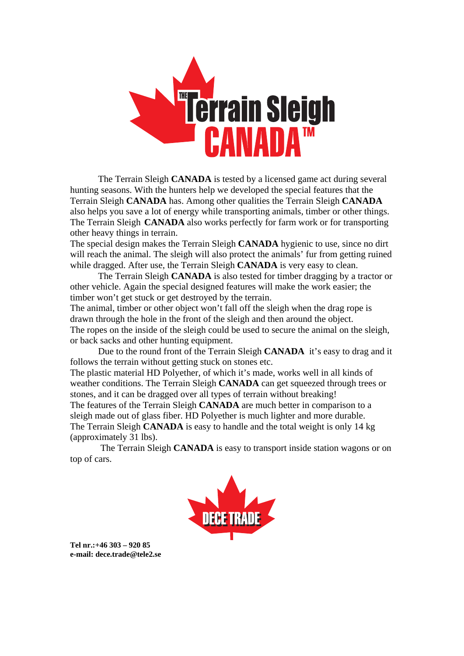

The Terrain Sleigh **CANADA** is tested by a licensed game act during several hunting seasons. With the hunters help we developed the special features that the Terrain Sleigh **CANADA** has. Among other qualities the Terrain Sleigh **CANADA** also helps you save a lot of energy while transporting animals, timber or other things. The Terrain Sleigh **CANADA** also works perfectly for farm work or for transporting other heavy things in terrain.

The special design makes the Terrain Sleigh **CANADA** hygienic to use, since no dirt will reach the animal. The sleigh will also protect the animals' fur from getting ruined while dragged. After use, the Terrain Sleigh **CANADA** is very easy to clean.

The Terrain Sleigh **CANADA** is also tested for timber dragging by a tractor or other vehicle. Again the special designed features will make the work easier; the timber won't get stuck or get destroyed by the terrain.

The animal, timber or other object won't fall off the sleigh when the drag rope is drawn through the hole in the front of the sleigh and then around the object. The ropes on the inside of the sleigh could be used to secure the animal on the sleigh, or back sacks and other hunting equipment.

Due to the round front of the Terrain Sleigh **CANADA** it's easy to drag and it follows the terrain without getting stuck on stones etc.

The plastic material HD Polyether, of which it's made, works well in all kinds of weather conditions. The Terrain Sleigh **CANADA** can get squeezed through trees or stones, and it can be dragged over all types of terrain without breaking! The features of the Terrain Sleigh **CANADA** are much better in comparison to a sleigh made out of glass fiber. HD Polyether is much lighter and more durable. The Terrain Sleigh **CANADA** is easy to handle and the total weight is only 14 kg (approximately 31 lbs).

 The Terrain Sleigh **CANADA** is easy to transport inside station wagons or on top of cars.



**Tel nr.:+46 303 – 920 85 e-mail: dece.trade@tele2.se**